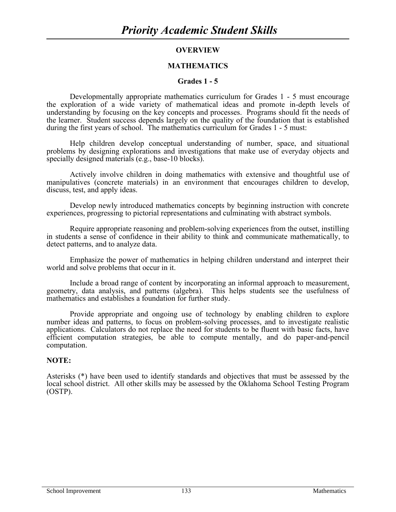# **OVERVIEW**

# **MATHEMATICS**

# **Grades 1 - 5**

Developmentally appropriate mathematics curriculum for Grades 1 - 5 must encourage the exploration of a wide variety of mathematical ideas and promote in-depth levels of understanding by focusing on the key concepts and processes. Programs should fit the needs of the learner. Student success depends largely on the quality of the foundation that is established during the first years of school. The mathematics curriculum for Grades 1 - 5 must:

Help children develop conceptual understanding of number, space, and situational problems by designing explorations and investigations that make use of everyday objects and specially designed materials (e.g., base-10 blocks).

Actively involve children in doing mathematics with extensive and thoughtful use of manipulatives (concrete materials) in an environment that encourages children to develop, discuss, test, and apply ideas.

Develop newly introduced mathematics concepts by beginning instruction with concrete experiences, progressing to pictorial representations and culminating with abstract symbols.

Require appropriate reasoning and problem-solving experiences from the outset, instilling in students a sense of confidence in their ability to think and communicate mathematically, to detect patterns, and to analyze data.

Emphasize the power of mathematics in helping children understand and interpret their world and solve problems that occur in it.

Include a broad range of content by incorporating an informal approach to measurement, geometry, data analysis, and patterns (algebra). This helps students see the usefulness of mathematics and establishes a foundation for further study.

Provide appropriate and ongoing use of technology by enabling children to explore number ideas and patterns, to focus on problem-solving processes, and to investigate realistic applications. Calculators do not replace the need for students to be fluent with basic facts, have efficient computation strategies, be able to compute mentally, and do paper-and-pencil computation.

# **NOTE:**

Asterisks (\*) have been used to identify standards and objectives that must be assessed by the local school district. All other skills may be assessed by the Oklahoma School Testing Program (OSTP).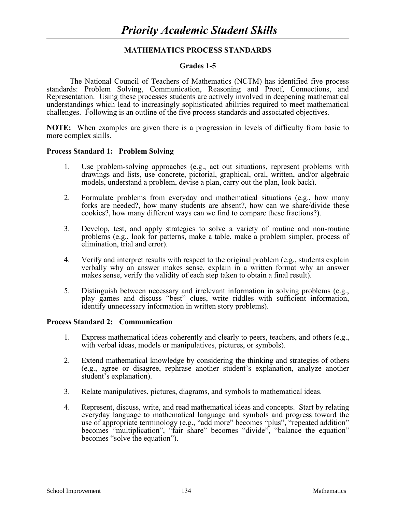# **MATHEMATICS PROCESS STANDARDS**

# **Grades 1-5**

The National Council of Teachers of Mathematics (NCTM) has identified five process standards: Problem Solving, Communication, Reasoning and Proof, Connections, and Representation. Using these processes students are actively involved in deepening mathematical understandings which lead to increasingly sophisticated abilities required to meet mathematical challenges. Following is an outline of the five process standards and associated objectives.

**NOTE:** When examples are given there is a progression in levels of difficulty from basic to more complex skills.

#### **Process Standard 1: Problem Solving**

- 1. Use problem-solving approaches (e.g., act out situations, represent problems with drawings and lists, use concrete, pictorial, graphical, oral, written, and/or algebraic models, understand a problem, devise a plan, carry out the plan, look back).
- 2. Formulate problems from everyday and mathematical situations (e.g., how many forks are needed?, how many students are absent?, how can we share/divide these cookies?, how many different ways can we find to compare these fractions?).
- 3. Develop, test, and apply strategies to solve a variety of routine and non-routine problems (e.g., look for patterns, make a table, make a problem simpler, process of elimination, trial and error).
- 4. Verify and interpret results with respect to the original problem (e.g., students explain verbally why an answer makes sense, explain in a written format why an answer makes sense, verify the validity of each step taken to obtain a final result).
- 5. Distinguish between necessary and irrelevant information in solving problems (e.g., play games and discuss "best" clues, write riddles with sufficient information, identify unnecessary information in written story problems).

#### **Process Standard 2: Communication**

- 1. Express mathematical ideas coherently and clearly to peers, teachers, and others (e.g., with verbal ideas, models or manipulatives, pictures, or symbols).
- 2. Extend mathematical knowledge by considering the thinking and strategies of others (e.g., agree or disagree, rephrase another student's explanation, analyze another student's explanation).
- 3. Relate manipulatives, pictures, diagrams, and symbols to mathematical ideas.
- 4. Represent, discuss, write, and read mathematical ideas and concepts. Start by relating everyday language to mathematical language and symbols and progress toward the use of appropriate terminology (e.g., "add more" becomes "plus", "repeated addition" becomes "multiplication", "fair share" becomes "divide", "balance the equation" becomes "solve the equation").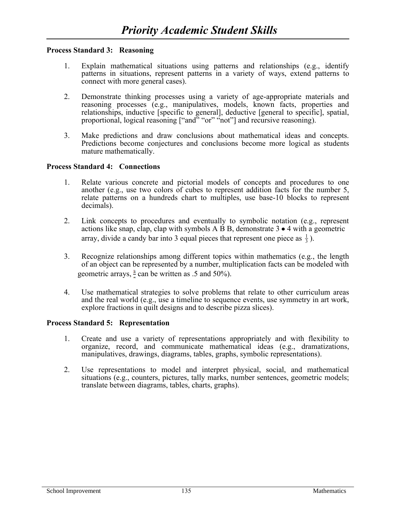#### **Process Standard 3: Reasoning**

- 1. Explain mathematical situations using patterns and relationships (e.g., identify patterns in situations, represent patterns in a variety of ways, extend patterns to connect with more general cases).
- 2. Demonstrate thinking processes using a variety of age-appropriate materials and reasoning processes (e.g., manipulatives, models, known facts, properties and relationships, inductive [specific to general], deductive [general to specific], spatial, proportional, logical reasoning ["and" "or" "not"] and recursive reasoning).
- 3. Make predictions and draw conclusions about mathematical ideas and concepts. Predictions become conjectures and conclusions become more logical as students mature mathematically.

#### **Process Standard 4: Connections**

- 1. Relate various concrete and pictorial models of concepts and procedures to one another (e.g., use two colors of cubes to represent addition facts for the number 5, relate patterns on a hundreds chart to multiples, use base-10 blocks to represent decimals).
- 2. Link concepts to procedures and eventually to symbolic notation (e.g., represent actions like snap, clap, clap with symbols A  $\overrightarrow{B}$  B, demonstrate 3  $\bullet$  4 with a geometric array, divide a candy bar into 3 equal pieces that represent one piece as  $\frac{1}{3}$ ).
	- 3. Recognize relationships among different topics within mathematics (e.g., the length of an object can be represented by a number, multiplication facts can be modeled with geometric arrays,  $\frac{1}{2}$  can be written as .5 and 50%).
	- 4. Use mathematical strategies to solve problems that relate to other curriculum areas and the real world (e.g., use a timeline to sequence events, use symmetry in art work, explore fractions in quilt designs and to describe pizza slices).

#### **Process Standard 5: Representation**

- 1. Create and use a variety of representations appropriately and with flexibility to organize, record, and communicate mathematical ideas (e.g., dramatizations, manipulatives, drawings, diagrams, tables, graphs, symbolic representations).
- 2. Use representations to model and interpret physical, social, and mathematical situations (e.g., counters, pictures, tally marks, number sentences, geometric models; translate between diagrams, tables, charts, graphs).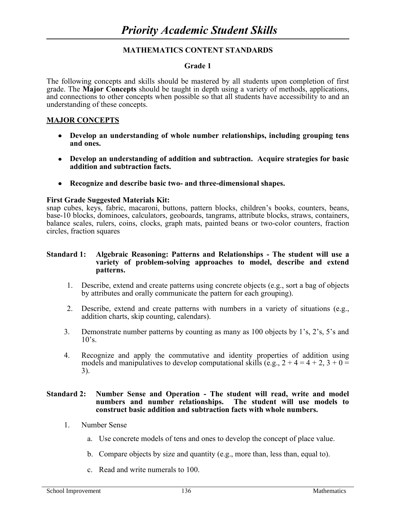# **Grade 1**

The following concepts and skills should be mastered by all students upon completion of first grade. The **Major Concepts** should be taught in depth using a variety of methods, applications, and connections to other concepts when possible so that all students have accessibility to and an understanding of these concepts.

#### **MAJOR CONCEPTS**

- **Develop an understanding of whole number relationships, including grouping tens and ones.**
- **Develop an understanding of addition and subtraction. Acquire strategies for basic addition and subtraction facts.**
- **Recognize and describe basic two- and three-dimensional shapes.**

#### **First Grade Suggested Materials Kit:**

snap cubes, keys, fabric, macaroni, buttons, pattern blocks, children's books, counters, beans, base-10 blocks, dominoes, calculators, geoboards, tangrams, attribute blocks, straws, containers, balance scales, rulers, coins, clocks, graph mats, painted beans or two-color counters, fraction circles, fraction squares

#### **Standard 1: Algebraic Reasoning: Patterns and Relationships - The student will use a variety of problem-solving approaches to model, describe and extend patterns.**

- 1. Describe, extend and create patterns using concrete objects (e.g., sort a bag of objects by attributes and orally communicate the pattern for each grouping).
- 2. Describe, extend and create patterns with numbers in a variety of situations (e.g., addition charts, skip counting, calendars).
- 3. Demonstrate number patterns by counting as many as 100 objects by 1's, 2's, 5's and  $10's$ .
- 4. Recognize and apply the commutative and identity properties of addition using models and manipulatives to develop computational skills (e.g.,  $2 + 4 = 4 + 2$ ,  $3 + 0 =$ 3).

#### **Standard 2: Number Sense and Operation - The student will read, write and model numbers and number relationships. The student will use models to construct basic addition and subtraction facts with whole numbers.**

- 1. Number Sense
	- a. Use concrete models of tens and ones to develop the concept of place value.
	- b. Compare objects by size and quantity (e.g., more than, less than, equal to).
	- c. Read and write numerals to 100.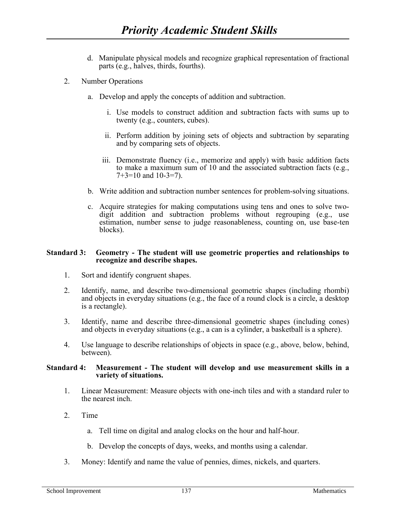- d. Manipulate physical models and recognize graphical representation of fractional parts (e.g., halves, thirds, fourths).
- 2. Number Operations
	- a. Develop and apply the concepts of addition and subtraction.
		- i. Use models to construct addition and subtraction facts with sums up to twenty (e.g., counters, cubes).
		- ii. Perform addition by joining sets of objects and subtraction by separating and by comparing sets of objects.
		- iii. Demonstrate fluency (i.e., memorize and apply) with basic addition facts to make a maximum sum of 10 and the associated subtraction facts (e.g.,  $7+3=10$  and  $10-3=7$ ).
	- b. Write addition and subtraction number sentences for problem-solving situations.
	- c. Acquire strategies for making computations using tens and ones to solve twodigit addition and subtraction problems without regrouping (e.g., use estimation, number sense to judge reasonableness, counting on, use base-ten blocks).

#### **Standard 3: Geometry - The student will use geometric properties and relationships to recognize and describe shapes.**

- 1. Sort and identify congruent shapes.
- 2. Identify, name, and describe two-dimensional geometric shapes (including rhombi) and objects in everyday situations (e.g., the face of a round clock is a circle, a desktop is a rectangle).
- 3. Identify, name and describe three-dimensional geometric shapes (including cones) and objects in everyday situations (e.g., a can is a cylinder, a basketball is a sphere).
- 4. Use language to describe relationships of objects in space (e.g., above, below, behind, between).

#### **Standard 4: Measurement - The student will develop and use measurement skills in a variety of situations.**

- 1. Linear Measurement: Measure objects with one-inch tiles and with a standard ruler to the nearest inch.
- 2. Time
	- a. Tell time on digital and analog clocks on the hour and half-hour.
	- b. Develop the concepts of days, weeks, and months using a calendar.
- 3. Money: Identify and name the value of pennies, dimes, nickels, and quarters.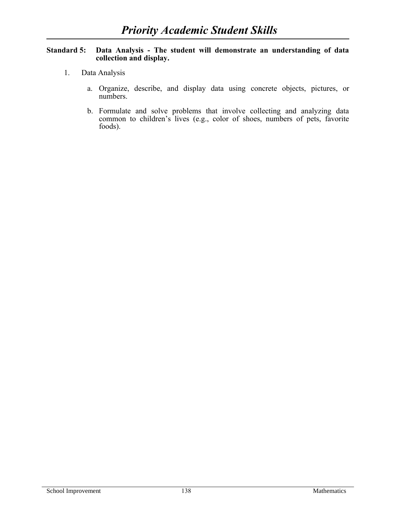# **Standard 5: Data Analysis - The student will demonstrate an understanding of data collection and display.**

- 1. Data Analysis
	- a. Organize, describe, and display data using concrete objects, pictures, or numbers.
	- b. Formulate and solve problems that involve collecting and analyzing data common to children's lives (e.g., color of shoes, numbers of pets, favorite foods).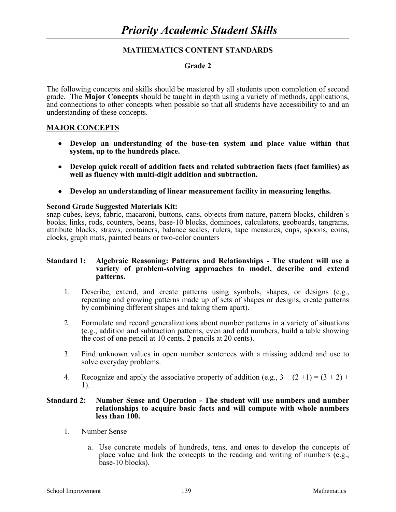# **Grade 2**

The following concepts and skills should be mastered by all students upon completion of second grade. The **Major Concepts** should be taught in depth using a variety of methods, applications, and connections to other concepts when possible so that all students have accessibility to and an understanding of these concepts.

### **MAJOR CONCEPTS**

- **Develop an understanding of the base-ten system and place value within that system, up to the hundreds place.**
- **Develop quick recall of addition facts and related subtraction facts (fact families) as well as fluency with multi-digit addition and subtraction.**
- **Develop an understanding of linear measurement facility in measuring lengths.**

#### **Second Grade Suggested Materials Kit:**

snap cubes, keys, fabric, macaroni, buttons, cans, objects from nature, pattern blocks, children's books, links, rods, counters, beans, base-10 blocks, dominoes, calculators, geoboards, tangrams, attribute blocks, straws, containers, balance scales, rulers, tape measures, cups, spoons, coins, clocks, graph mats, painted beans or two-color counters

#### **Standard 1: Algebraic Reasoning: Patterns and Relationships - The student will use a variety of problem-solving approaches to model, describe and extend patterns.**

- 1. Describe, extend, and create patterns using symbols, shapes, or designs (e.g., repeating and growing patterns made up of sets of shapes or designs, create patterns by combining different shapes and taking them apart).
- 2. Formulate and record generalizations about number patterns in a variety of situations (e.g., addition and subtraction patterns, even and odd numbers, build a table showing the cost of one pencil at 10 cents, 2 pencils at 20 cents).
- 3. Find unknown values in open number sentences with a missing addend and use to solve everyday problems.
- 4. Recognize and apply the associative property of addition (e.g.,  $3 + (2 + 1) = (3 + 2) +$ 1).

#### **Standard 2: Number Sense and Operation - The student will use numbers and number relationships to acquire basic facts and will compute with whole numbers less than 100.**

- 1. Number Sense
	- a. Use concrete models of hundreds, tens, and ones to develop the concepts of place value and link the concepts to the reading and writing of numbers (e.g., base-10 blocks).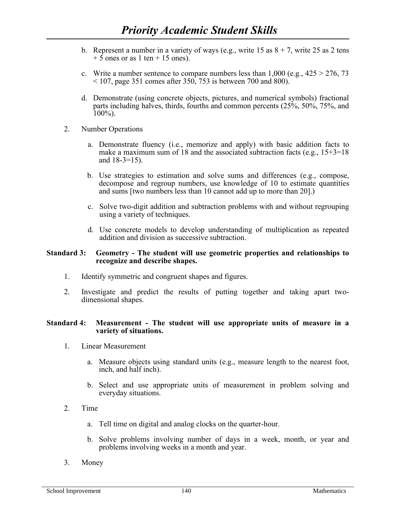- b. Represent a number in a variety of ways (e.g., write 15 as  $8 + 7$ , write 25 as 2 tens  $+ 5$  ones or as 1 ten  $+ 15$  ones).
- c. Write a number sentence to compare numbers less than  $1,000$  (e.g.,  $425 > 276$ , 73  $107$ , page 351 comes after 350, 753 is between 700 and 800).
- d. Demonstrate (using concrete objects, pictures, and numerical symbols) fractional parts including halves, thirds, fourths and common percents (25%, 50%, 75%, and  $100\%$ ).
- 2. Number Operations
	- a. Demonstrate fluency (i.e., memorize and apply) with basic addition facts to make a maximum sum of 18 and the associated subtraction facts (e.g.,  $15+3=18$ ) and 18-3=15).
	- b. Use strategies to estimation and solve sums and differences (e.g., compose, decompose and regroup numbers, use knowledge of 10 to estimate quantities and sums [two numbers less than 10 cannot add up to more than 20].)
	- c. Solve two-digit addition and subtraction problems with and without regrouping using a variety of techniques.
	- d. Use concrete models to develop understanding of multiplication as repeated addition and division as successive subtraction.

#### **Standard 3: Geometry - The student will use geometric properties and relationships to recognize and describe shapes.**

- 1. Identify symmetric and congruent shapes and figures.
- 2. Investigate and predict the results of putting together and taking apart twodimensional shapes.

#### **Standard 4: Measurement - The student will use appropriate units of measure in a variety of situations.**

- 1. Linear Measurement
	- a. Measure objects using standard units (e.g., measure length to the nearest foot, inch, and half inch).
	- b. Select and use appropriate units of measurement in problem solving and everyday situations.
- 2. Time
	- a. Tell time on digital and analog clocks on the quarter-hour.
	- b. Solve problems involving number of days in a week, month, or year and problems involving weeks in a month and year.
- 3. Money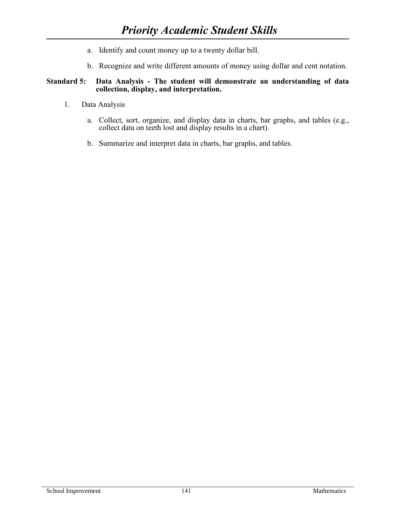- a. Identify and count money up to a twenty dollar bill.
- b. Recognize and write different amounts of money using dollar and cent notation.

# **Standard 5: Data Analysis - The student will demonstrate an understanding of data collection, display, and interpretation.**

- 1. Data Analysis
	- a. Collect, sort, organize, and display data in charts, bar graphs, and tables (e.g., collect data on teeth lost and display results in a chart).
	- b. Summarize and interpret data in charts, bar graphs, and tables.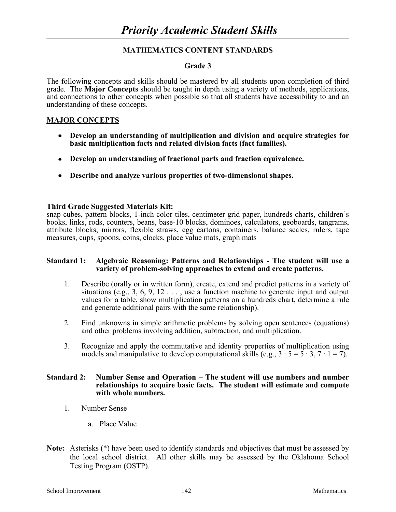# **Grade 3**

The following concepts and skills should be mastered by all students upon completion of third grade. The **Major Concepts** should be taught in depth using a variety of methods, applications, and connections to other concepts when possible so that all students have accessibility to and an understanding of these concepts.

# **MAJOR CONCEPTS**

- **Develop an understanding of multiplication and division and acquire strategies for basic multiplication facts and related division facts (fact families).**
- **Develop an understanding of fractional parts and fraction equivalence.**
- **Describe and analyze various properties of two-dimensional shapes.**

# **Third Grade Suggested Materials Kit:**

snap cubes, pattern blocks, 1-inch color tiles, centimeter grid paper, hundreds charts, children's books, links, rods, counters, beans, base-10 blocks, dominoes, calculators, geoboards, tangrams, attribute blocks, mirrors, flexible straws, egg cartons, containers, balance scales, rulers, tape measures, cups, spoons, coins, clocks, place value mats, graph mats

#### **Standard 1: Algebraic Reasoning: Patterns and Relationships - The student will use a variety of problem-solving approaches to extend and create patterns.**

- 1. Describe (orally or in written form), create, extend and predict patterns in a variety of situations  $(e.g., 3, 6, 9, 12, \ldots)$  use a function machine to generate input and output values for a table, show multiplication patterns on a hundreds chart, determine a rule and generate additional pairs with the same relationship).
- 2. Find unknowns in simple arithmetic problems by solving open sentences (equations) and other problems involving addition, subtraction, and multiplication.
- 3. Recognize and apply the commutative and identity properties of multiplication using models and manipulative to develop computational skills (e.g.,  $3 \cdot 5 = 5 \cdot 3$ ,  $7 \cdot 1 = 7$ ).

#### **Standard 2: Number Sense and Operation – The student will use numbers and number relationships to acquire basic facts. The student will estimate and compute with whole numbers.**

- 1. Number Sense
	- a. Place Value
- **Note:** Asterisks (\*) have been used to identify standards and objectives that must be assessed by the local school district. All other skills may be assessed by the Oklahoma School Testing Program (OSTP).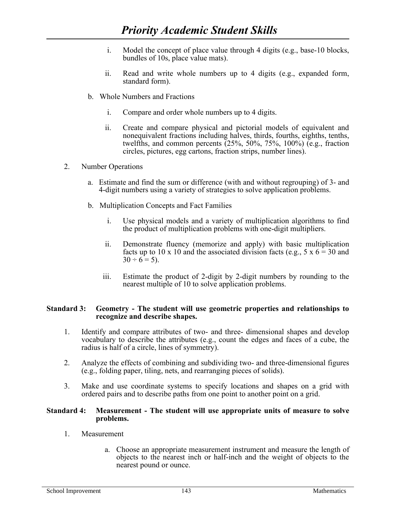- i. Model the concept of place value through 4 digits (e.g., base-10 blocks, bundles of 10s, place value mats).
- ii. Read and write whole numbers up to 4 digits (e.g., expanded form, standard form).
- b. Whole Numbers and Fractions
	- i. Compare and order whole numbers up to 4 digits.
	- ii. Create and compare physical and pictorial models of equivalent and nonequivalent fractions including halves, thirds, fourths, eighths, tenths, twelfths, and common percents (25%, 50%, 75%, 100%) (e.g., fraction circles, pictures, egg cartons, fraction strips, number lines).
- 2. Number Operations
	- a. Estimate and find the sum or difference (with and without regrouping) of 3- and 4-digit numbers using a variety of strategies to solve application problems.
	- b. Multiplication Concepts and Fact Families
		- i. Use physical models and a variety of multiplication algorithms to find the product of multiplication problems with one-digit multipliers.
		- ii. Demonstrate fluency (memorize and apply) with basic multiplication facts up to 10 x 10 and the associated division facts (e.g., 5 x  $6 = 30$  and  $30 \div 6 = 5$ ).
		- iii. Estimate the product of 2-digit by 2-digit numbers by rounding to the nearest multiple of 10 to solve application problems.

#### **Standard 3: Geometry - The student will use geometric properties and relationships to recognize and describe shapes.**

- 1. Identify and compare attributes of two- and three- dimensional shapes and develop vocabulary to describe the attributes (e.g., count the edges and faces of a cube, the radius is half of a circle, lines of symmetry).
- 2. Analyze the effects of combining and subdividing two- and three-dimensional figures (e.g., folding paper, tiling, nets, and rearranging pieces of solids).
- 3. Make and use coordinate systems to specify locations and shapes on a grid with ordered pairs and to describe paths from one point to another point on a grid.

#### **Standard 4: Measurement - The student will use appropriate units of measure to solve problems.**

- 1. Measurement
	- a. Choose an appropriate measurement instrument and measure the length of objects to the nearest inch or half-inch and the weight of objects to the nearest pound or ounce.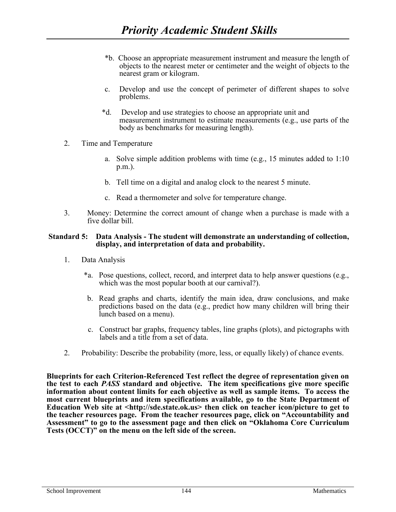- \*b. Choose an appropriate measurement instrument and measure the length of objects to the nearest meter or centimeter and the weight of objects to the nearest gram or kilogram.
- c. Develop and use the concept of perimeter of different shapes to solve problems.
- \*d. Develop and use strategies to choose an appropriate unit and measurement instrument to estimate measurements (e.g., use parts of the body as benchmarks for measuring length).
- 2. Time and Temperature
	- a. Solve simple addition problems with time (e.g., 15 minutes added to 1:10 p.m.).
	- b. Tell time on a digital and analog clock to the nearest 5 minute.
	- c. Read a thermometer and solve for temperature change.
- 3. Money: Determine the correct amount of change when a purchase is made with a five dollar bill.

#### **Standard 5: Data Analysis - The student will demonstrate an understanding of collection, display, and interpretation of data and probability.**

- 1. Data Analysis
	- \*a. Pose questions, collect, record, and interpret data to help answer questions (e.g., which was the most popular booth at our carnival?).
	- b. Read graphs and charts, identify the main idea, draw conclusions, and make predictions based on the data (e.g., predict how many children will bring their lunch based on a menu).
	- c. Construct bar graphs, frequency tables, line graphs (plots), and pictographs with labels and a title from a set of data.
- 2. Probability: Describe the probability (more, less, or equally likely) of chance events.

**Blueprints for each Criterion-Referenced Test reflect the degree of representation given on the test to each** *PASS* **standard and objective. The item specifications give more specific information about content limits for each objective as well as sample items. To access the most current blueprints and item specifications available, go to the State Department of Education Web site at [<http://sde.state.ok.us>](http://sde.state.ok.us/) then click on teacher icon/picture to get to the teacher resources page. From the teacher resources page, click on "Accountability and Assessment" to go to the assessment page and then click on "Oklahoma Core Curriculum Tests (OCCT)" on the menu on the left side of the screen.**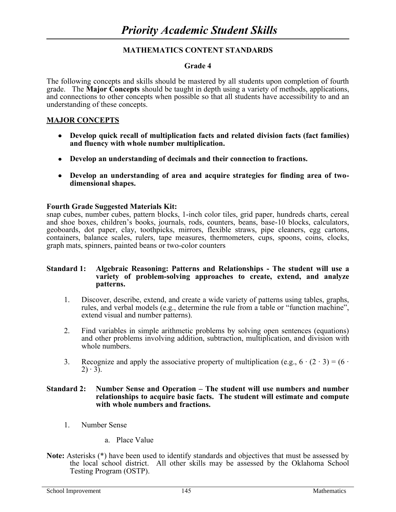# **Grade 4**

The following concepts and skills should be mastered by all students upon completion of fourth grade. The **Major Concepts** should be taught in depth using a variety of methods, applications, and connections to other concepts when possible so that all students have accessibility to and an understanding of these concepts.

# **MAJOR CONCEPTS**

- **Develop quick recall of multiplication facts and related division facts (fact families) and fluency with whole number multiplication.**
- **Develop an understanding of decimals and their connection to fractions.**
- **Develop an understanding of area and acquire strategies for finding area of twodimensional shapes.**

#### **Fourth Grade Suggested Materials Kit:**

snap cubes, number cubes, pattern blocks, 1-inch color tiles, grid paper, hundreds charts, cereal and shoe boxes, children's books, journals, rods, counters, beans, base-10 blocks, calculators, geoboards, dot paper, clay, toothpicks, mirrors, flexible straws, pipe cleaners, egg cartons, containers, balance scales, rulers, tape measures, thermometers, cups, spoons, coins, clocks, graph mats, spinners, painted beans or two-color counters

#### **Standard 1: Algebraic Reasoning: Patterns and Relationships - The student will use a variety of problem-solving approaches to create, extend, and analyze patterns.**

- 1. Discover, describe, extend, and create a wide variety of patterns using tables, graphs, rules, and verbal models (e.g., determine the rule from a table or "function machine", extend visual and number patterns).
- 2. Find variables in simple arithmetic problems by solving open sentences (equations) and other problems involving addition, subtraction, multiplication, and division with whole numbers.
- 3. Recognize and apply the associative property of multiplication (e.g.,  $6 \cdot (2 \cdot 3) = (6 \cdot$  $(2) \cdot 3$ .

#### **Standard 2: Number Sense and Operation – The student will use numbers and number relationships to acquire basic facts. The student will estimate and compute with whole numbers and fractions.**

- 1. Number Sense
	- a. Place Value
- Note: Asterisks (\*) have been used to identify standards and objectives that must be assessed by the local school district. All other skills may be assessed by the Oklahoma School Testing Program (OSTP).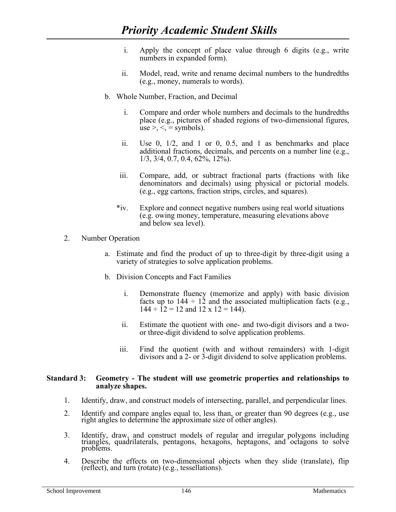- i. Apply the concept of place value through 6 digits (e.g., write numbers in expanded form).
- ii. Model, read, write and rename decimal numbers to the hundredths (e.g., money, numerals to words).
- b. Whole Number, Fraction, and Decimal
	- i. Compare and order whole numbers and decimals to the hundredths place (e.g., pictures of shaded regions of two-dimensional figures, use  $> <$ ,  $\le$  = symbols).
	- ii. Use 0, 1/2, and 1 or 0, 0.5, and 1 as benchmarks and place additional fractions, decimals, and percents on a number line (e.g., 1/3, 3/4, 0.7, 0.4, 62%, 12%).
	- iii. Compare, add, or subtract fractional parts (fractions with like denominators and decimals) using physical or pictorial models. (e.g., egg cartons, fraction strips, circles, and squares).
	- \*iv. Explore and connect negative numbers using real world situations (e.g. owing money, temperature, measuring elevations above and below sea level).
- 2. Number Operation
	- a. Estimate and find the product of up to three-digit by three-digit using a variety of strategies to solve application problems.
	- b. Division Concepts and Fact Families
		- i. Demonstrate fluency (memorize and apply) with basic division facts up to  $144 \div 12$  and the associated multiplication facts (e.g.,  $144 \div 12 = 12$  and  $12 \times 12 = 144$ ).
		- ii. Estimate the quotient with one- and two-digit divisors and a twoor three-digit dividend to solve application problems.
		- iii. Find the quotient (with and without remainders) with 1-digit divisors and a 2- or 3-digit dividend to solve application problems.

#### **Standard 3: Geometry - The student will use geometric properties and relationships to analyze shapes.**

- $1<sub>1</sub>$ 1. Identify, draw, and construct models of intersecting, parallel, and perpendicular lines.
- 2. Identify and compare angles equal to, less than, or greater than 90 degrees (e.g., use right angles to determine the approximate size of other angles).
- 3. Identify, draw, and construct models of regular and irregular polygons including triangles, quadrilaterals, pentagons, hexagons, heptagons, and octagons to solve problems.
- 4. Describe the effects on two-dimensional objects when they slide (translate), flip (reflect), and turn (rotate) (e.g., tessellations).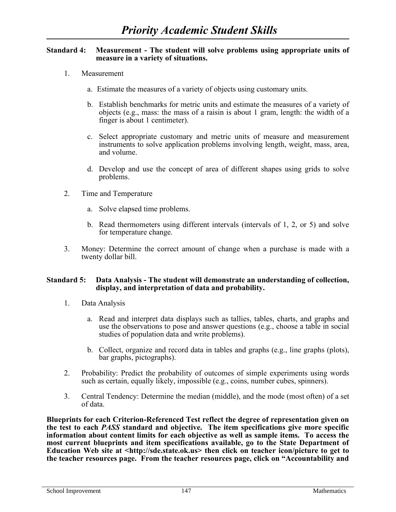#### **Standard 4: Measurement - The student will solve problems using appropriate units of measure in a variety of situations.**

- 1. Measurement
	- a. Estimate the measures of a variety of objects using customary units.
	- b. Establish benchmarks for metric units and estimate the measures of a variety of objects (e.g., mass: the mass of a raisin is about 1 gram, length: the width of a finger is about 1 centimeter).
	- c. Select appropriate customary and metric units of measure and measurement instruments to solve application problems involving length, weight, mass, area, and volume.
	- d. Develop and use the concept of area of different shapes using grids to solve problems.
- 2. Time and Temperature
	- a. Solve elapsed time problems.
	- b. Read thermometers using different intervals (intervals of 1, 2, or 5) and solve for temperature change.
- 3. Money: Determine the correct amount of change when a purchase is made with a twenty dollar bill.

#### **Standard 5: Data Analysis - The student will demonstrate an understanding of collection, display, and interpretation of data and probability.**

- 1. Data Analysis
	- a. Read and interpret data displays such as tallies, tables, charts, and graphs and use the observations to pose and answer questions (e.g., choose a table in social studies of population data and write problems).
	- b. Collect, organize and record data in tables and graphs (e.g., line graphs (plots), bar graphs, pictographs).
- 2. Probability: Predict the probability of outcomes of simple experiments using words such as certain, equally likely, impossible (e.g., coins, number cubes, spinners).
- 3. Central Tendency: Determine the median (middle), and the mode (most often) of a set of data.

**Blueprints for each Criterion-Referenced Test reflect the degree of representation given on the test to each** *PASS* **standard and objective. The item specifications give more specific information about content limits for each objective as well as sample items. To access the most current blueprints and item specifications available, go to the State Department of Education Web site at [<http://sde.state.ok.us>](http://sde.state.ok.us/) then click on teacher icon/picture to get to the teacher resources page. From the teacher resources page, click on "Accountability and**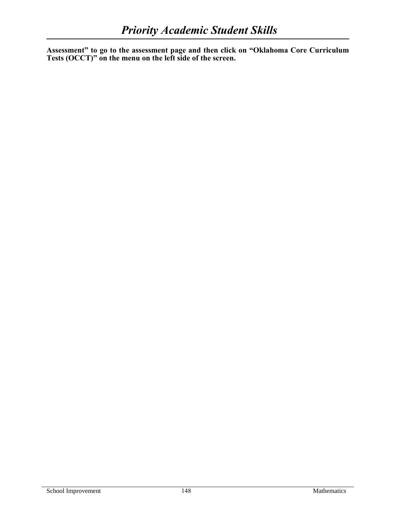**Assessment" to go to the assessment page and then click on "Oklahoma Core Curriculum Tests (OCCT)" on the menu on the left side of the screen.**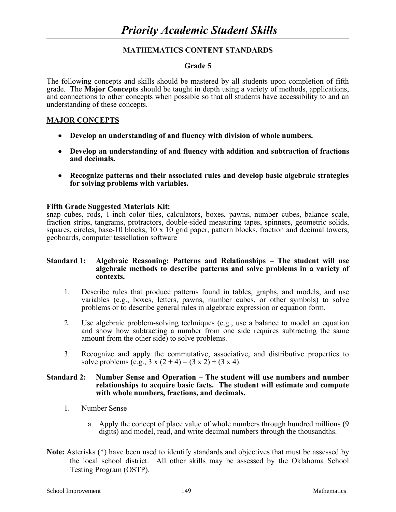# **Grade 5**

The following concepts and skills should be mastered by all students upon completion of fifth grade. The **Major Concepts** should be taught in depth using a variety of methods, applications, and connections to other concepts when possible so that all students have accessibility to and an understanding of these concepts.

# **MAJOR CONCEPTS**

- **Develop an understanding of and fluency with division of whole numbers.**
- **Develop an understanding of and fluency with addition and subtraction of fractions and decimals.**
- **Recognize patterns and their associated rules and develop basic algebraic strategies for solving problems with variables.**

# **Fifth Grade Suggested Materials Kit:**

snap cubes, rods, 1-inch color tiles, calculators, boxes, pawns, number cubes, balance scale, fraction strips, tangrams, protractors, double-sided measuring tapes, spinners, geometric solids, squares, circles, base-10 blocks,  $10 \times 10$  grid paper, pattern blocks, fraction and decimal towers, geoboards, computer tessellation software

#### **Standard 1: Algebraic Reasoning: Patterns and Relationships – The student will use algebraic methods to describe patterns and solve problems in a variety of contexts.**

- 1. Describe rules that produce patterns found in tables, graphs, and models, and use variables (e.g., boxes, letters, pawns, number cubes, or other symbols) to solve problems or to describe general rules in algebraic expression or equation form.
- 2. Use algebraic problem-solving techniques (e.g., use a balance to model an equation and show how subtracting a number from one side requires subtracting the same amount from the other side) to solve problems.
- 3. Recognize and apply the commutative, associative, and distributive properties to solve problems (e.g.,  $3 \times (2 + 4) = (3 \times 2) + (3 \times 4)$ .

#### **Standard 2: Number Sense and Operation – The student will use numbers and number relationships to acquire basic facts. The student will estimate and compute with whole numbers, fractions, and decimals.**

- 1. Number Sense
	- a. Apply the concept of place value of whole numbers through hundred millions (9 digits) and model, read, and write decimal numbers through the thousandths.
- **Note:** Asterisks (\*) have been used to identify standards and objectives that must be assessed by the local school district. All other skills may be assessed by the Oklahoma School Testing Program (OSTP).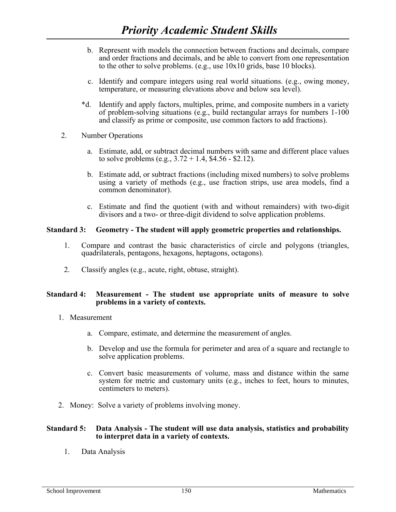- b. Represent with models the connection between fractions and decimals, compare and order fractions and decimals, and be able to convert from one representation to the other to solve problems. (e.g., use 10x10 grids, base 10 blocks).
- c. Identify and compare integers using real world situations. (e.g., owing money, temperature, or measuring elevations above and below sea level).
- \*d. Identify and apply factors, multiples, prime, and composite numbers in a variety of problem-solving situations (e.g., build rectangular arrays for numbers 1-100 and classify as prime or composite, use common factors to add fractions).
- 2. Number Operations
	- a. Estimate, add, or subtract decimal numbers with same and different place values to solve problems (e.g.,  $3.72 + 1.4$ , \$4.56 - \$2.12).
	- b. Estimate add, or subtract fractions (including mixed numbers) to solve problems using a variety of methods (e.g., use fraction strips, use area models, find a common denominator).
	- c. Estimate and find the quotient (with and without remainders) with two-digit divisors and a two- or three-digit dividend to solve application problems.

#### **Standard 3: Geometry - The student will apply geometric properties and relationships.**

- 1. Compare and contrast the basic characteristics of circle and polygons (triangles, quadrilaterals, pentagons, hexagons, heptagons, octagons).
- 2. Classify angles (e.g., acute, right, obtuse, straight).

#### **Standard 4: Measurement - The student use appropriate units of measure to solve problems in a variety of contexts.**

- 1. Measurement
	- a. Compare, estimate, and determine the measurement of angles.
	- b. Develop and use the formula for perimeter and area of a square and rectangle to solve application problems.
	- c. Convert basic measurements of volume, mass and distance within the same system for metric and customary units (e.g., inches to feet, hours to minutes, centimeters to meters).
- 2. Money: Solve a variety of problems involving money.

#### **Standard 5: Data Analysis - The student will use data analysis, statistics and probability to interpret data in a variety of contexts.**

1. Data Analysis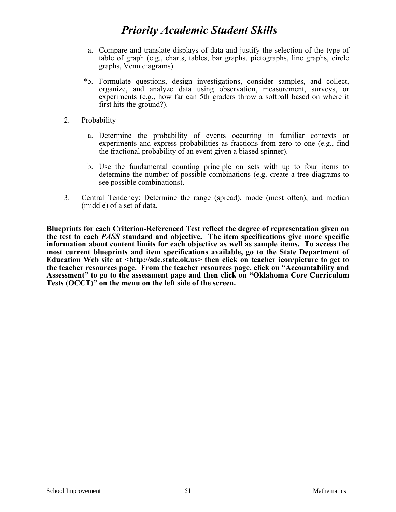- a. Compare and translate displays of data and justify the selection of the type of table of graph (e.g., charts, tables, bar graphs, pictographs, line graphs, circle graphs, Venn diagrams).
- \*b. Formulate questions, design investigations, consider samples, and collect, organize, and analyze data using observation, measurement, surveys, or experiments (e.g., how far can 5th graders throw a softball based on where it first hits the ground?).
- 2. Probability
	- a. Determine the probability of events occurring in familiar contexts or experiments and express probabilities as fractions from zero to one (e.g., find the fractional probability of an event given a biased spinner).
	- b. Use the fundamental counting principle on sets with up to four items to determine the number of possible combinations (e.g. create a tree diagrams to see possible combinations).
- 3. Central Tendency: Determine the range (spread), mode (most often), and median (middle) of a set of data.

**Blueprints for each Criterion-Referenced Test reflect the degree of representation given on the test to each** *PASS* **standard and objective. The item specifications give more specific information about content limits for each objective as well as sample items. To access the most current blueprints and item specifications available, go to the State Department of Education Web site at [<http://sde.state.ok.us>](http://sde.state.ok.us/) then click on teacher icon/picture to get to the teacher resources page. From the teacher resources page, click on "Accountability and Assessment" to go to the assessment page and then click on "Oklahoma Core Curriculum Tests (OCCT)" on the menu on the left side of the screen.**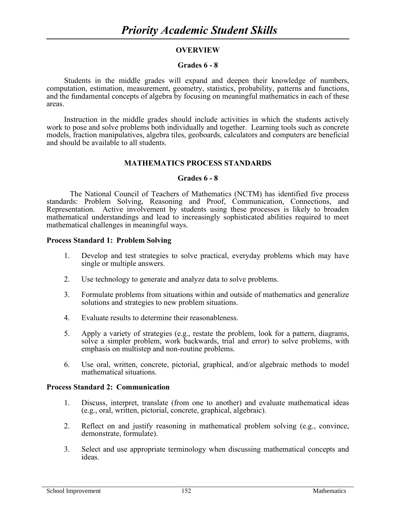# **OVERVIEW**

#### **Grades 6 - 8**

Students in the middle grades will expand and deepen their knowledge of numbers, computation, estimation, measurement, geometry, statistics, probability, patterns and functions, and the fundamental concepts of algebra by focusing on meaningful mathematics in each of these areas.

Instruction in the middle grades should include activities in which the students actively work to pose and solve problems both individually and together. Learning tools such as concrete models, fraction manipulatives, algebra tiles, geoboards, calculators and computers are beneficial and should be available to all students.

#### **MATHEMATICS PROCESS STANDARDS**

### **Grades 6 - 8**

The National Council of Teachers of Mathematics (NCTM) has identified five process standards: Problem Solving, Reasoning and Proof, Communication, Connections, and Representation. Active involvement by students using these processes is likely to broaden mathematical understandings and lead to increasingly sophisticated abilities required to meet mathematical challenges in meaningful ways.

#### **Process Standard 1: Problem Solving**

- 1. Develop and test strategies to solve practical, everyday problems which may have single or multiple answers.
- 2. Use technology to generate and analyze data to solve problems.
- 3. Formulate problems from situations within and outside of mathematics and generalize solutions and strategies to new problem situations.
- 4. Evaluate results to determine their reasonableness.
- 5. Apply a variety of strategies (e.g., restate the problem, look for a pattern, diagrams, solve a simpler problem, work backwards, trial and error) to solve problems, with emphasis on multistep and non-routine problems.
- 6. Use oral, written, concrete, pictorial, graphical, and/or algebraic methods to model mathematical situations.

# **Process Standard 2: Communication**

- 1. Discuss, interpret, translate (from one to another) and evaluate mathematical ideas (e.g., oral, written, pictorial, concrete, graphical, algebraic).
- 2. Reflect on and justify reasoning in mathematical problem solving (e.g., convince, demonstrate, formulate).
- 3. Select and use appropriate terminology when discussing mathematical concepts and ideas.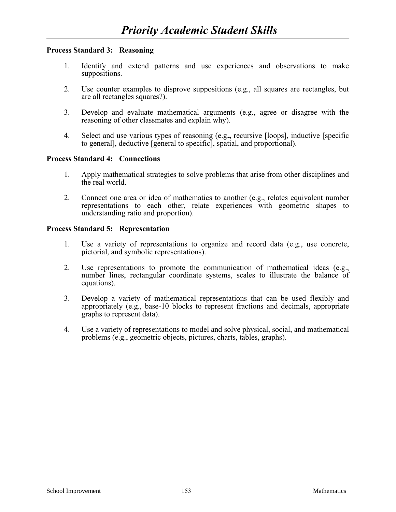# **Process Standard 3: Reasoning**

- 1. Identify and extend patterns and use experiences and observations to make suppositions.
- 2. Use counter examples to disprove suppositions (e.g., all squares are rectangles, but are all rectangles squares?).
- 3. Develop and evaluate mathematical arguments (e.g., agree or disagree with the reasoning of other classmates and explain why).
- 4. Select and use various types of reasoning (e.g**.,** recursive [loops], inductive [specific to general], deductive [general to specific], spatial, and proportional).

#### **Process Standard 4: Connections**

- 1. Apply mathematical strategies to solve problems that arise from other disciplines and the real world.
- 2. Connect one area or idea of mathematics to another (e.g., relates equivalent number representations to each other, relate experiences with geometric shapes to understanding ratio and proportion).

#### **Process Standard 5: Representation**

- 1. Use a variety of representations to organize and record data (e.g., use concrete, pictorial, and symbolic representations).
- 2. Use representations to promote the communication of mathematical ideas (e.g., number lines, rectangular coordinate systems, scales to illustrate the balance of equations).
- 3. Develop a variety of mathematical representations that can be used flexibly and appropriately (e.g., base-10 blocks to represent fractions and decimals, appropriate graphs to represent data).
- 4. Use a variety of representations to model and solve physical, social, and mathematical problems (e.g., geometric objects, pictures, charts, tables, graphs).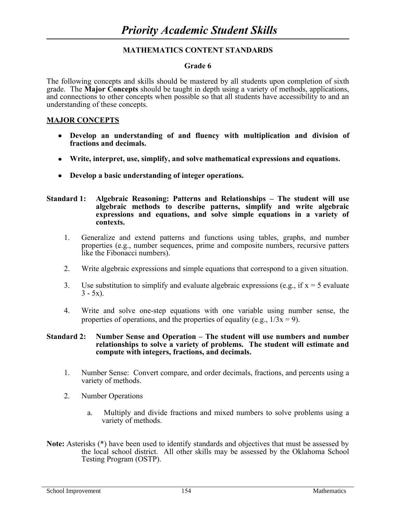#### **Grade 6**

The following concepts and skills should be mastered by all students upon completion of sixth grade. The **Major Concepts** should be taught in depth using a variety of methods, applications, and connections to other concepts when possible so that all students have accessibility to and an understanding of these concepts.

#### **MAJOR CONCEPTS**

- **Develop an understanding of and fluency with multiplication and division of fractions and decimals.**
- **Write, interpret, use, simplify, and solve mathematical expressions and equations.**
- **Develop a basic understanding of integer operations.**

#### **Standard 1: Algebraic Reasoning: Patterns and Relationships – The student will use algebraic methods to describe patterns, simplify and write algebraic expressions and equations, and solve simple equations in a variety of contexts.**

- 1. Generalize and extend patterns and functions using tables, graphs, and number properties (e.g., number sequences, prime and composite numbers, recursive patters like the Fibonacci numbers).
- 2. Write algebraic expressions and simple equations that correspond to a given situation.
- 3. Use substitution to simplify and evaluate algebraic expressions (e.g., if  $x = 5$  evaluate  $3 - 5x$ ).
- 4. Write and solve one-step equations with one variable using number sense, the properties of operations, and the properties of equality (e.g.,  $1/3x = 9$ ).

#### **Standard 2: Number Sense and Operation – The student will use numbers and number relationships to solve a variety of problems. The student will estimate and compute with integers, fractions, and decimals.**

- 1. Number Sense: Convert compare, and order decimals, fractions, and percents using a variety of methods.
- 2. Number Operations
	- a. Multiply and divide fractions and mixed numbers to solve problems using a variety of methods.
- **Note:** Asterisks (\*) have been used to identify standards and objectives that must be assessed by the local school district. All other skills may be assessed by the Oklahoma School Testing Program (OSTP).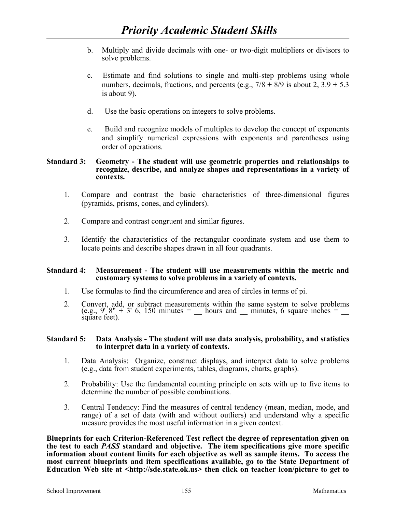- b. Multiply and divide decimals with one- or two-digit multipliers or divisors to solve problems.
- c. Estimate and find solutions to single and multi-step problems using whole numbers, decimals, fractions, and percents (e.g.,  $7/8 + 8/9$  is about 2,  $3.9 + 5.3$ ) is about 9).
- d. Use the basic operations on integers to solve problems.
- e. Build and recognize models of multiples to develop the concept of exponents and simplify numerical expressions with exponents and parentheses using order of operations.

#### **Standard 3: Geometry - The student will use geometric properties and relationships to recognize, describe, and analyze shapes and representations in a variety of contexts.**

- 1. Compare and contrast the basic characteristics of three-dimensional figures (pyramids, prisms, cones, and cylinders).
- 2. Compare and contrast congruent and similar figures.
- 3. Identify the characteristics of the rectangular coordinate system and use them to locate points and describe shapes drawn in all four quadrants.

# **Standard 4: Measurement - The student will use measurements within the metric and customary systems to solve problems in a variety of contexts.**

- 1. Use formulas to find the circumference and area of circles in terms of pi.
- 2. Convert, add, or subtract measurements within the same system to solve problems (e.g.,  $9'$  8" + 3' 6, 150 minutes =  $\quad$  hours and  $\quad$  minutes, 6 square inches =  $\quad$ square feet).

#### **Standard 5: Data Analysis - The student will use data analysis, probability, and statistics to interpret data in a variety of contexts.**

- 1. Data Analysis: Organize, construct displays, and interpret data to solve problems (e.g., data from student experiments, tables, diagrams, charts, graphs).
- 2. Probability: Use the fundamental counting principle on sets with up to five items to determine the number of possible combinations.
- 3. Central Tendency: Find the measures of central tendency (mean, median, mode, and range) of a set of data (with and without outliers) and understand why a specific measure provides the most useful information in a given context.

**Blueprints for each Criterion-Referenced Test reflect the degree of representation given on the test to each** *PASS* **standard and objective. The item specifications give more specific information about content limits for each objective as well as sample items. To access the most current blueprints and item specifications available, go to the State Department of Education Web site at [<http://sde.state.ok.us>](http://sde.state.ok.us/) then click on teacher icon/picture to get to**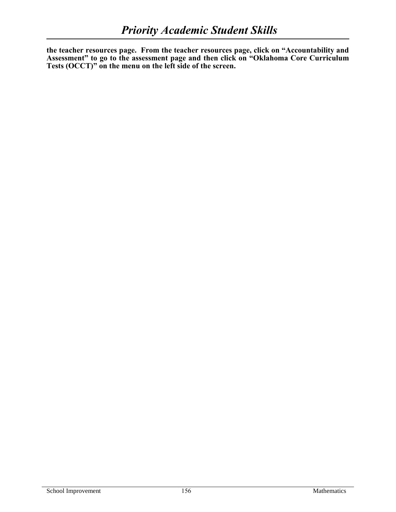**the teacher resources page. From the teacher resources page, click on "Accountability and Assessment" to go to the assessment page and then click on "Oklahoma Core Curriculum Tests (OCCT)" on the menu on the left side of the screen.**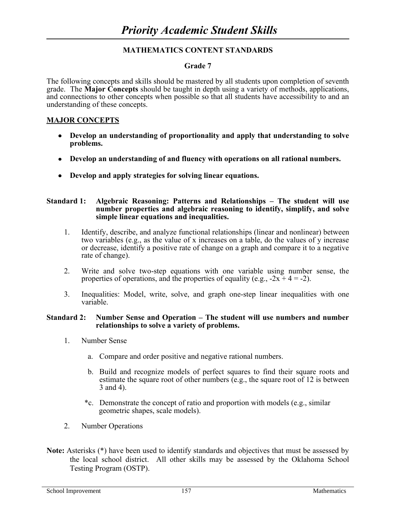# **Grade 7**

The following concepts and skills should be mastered by all students upon completion of seventh grade. The **Major Concepts** should be taught in depth using a variety of methods, applications, and connections to other concepts when possible so that all students have accessibility to and an understanding of these concepts.

# **MAJOR CONCEPTS**

- **Develop an understanding of proportionality and apply that understanding to solve problems.**
- **Develop an understanding of and fluency with operations on all rational numbers.**
- **Develop and apply strategies for solving linear equations.**

#### **Standard 1: Algebraic Reasoning: Patterns and Relationships – The student will use number properties and algebraic reasoning to identify, simplify, and solve simple linear equations and inequalities.**

- 1. Identify, describe, and analyze functional relationships (linear and nonlinear) between two variables (e.g., as the value of x increases on a table, do the values of y increase or decrease, identify a positive rate of change on a graph and compare it to a negative rate of change).
- 2. Write and solve two-step equations with one variable using number sense, the properties of operations, and the properties of equality (e.g.,  $-2x + 4 = -2$ ).
- 3. Inequalities: Model, write, solve, and graph one-step linear inequalities with one variable.

#### **Standard 2: Number Sense and Operation – The student will use numbers and number relationships to solve a variety of problems.**

- 1. Number Sense
	- a. Compare and order positive and negative rational numbers.
	- b. Build and recognize models of perfect squares to find their square roots and estimate the square root of other numbers (e.g., the square root of 12 is between 3 and 4).
	- \*c. Demonstrate the concept of ratio and proportion with models (e.g., similar geometric shapes, scale models).
- 2. Number Operations
- **Note:** Asterisks (\*) have been used to identify standards and objectives that must be assessed by the local school district. All other skills may be assessed by the Oklahoma School Testing Program (OSTP).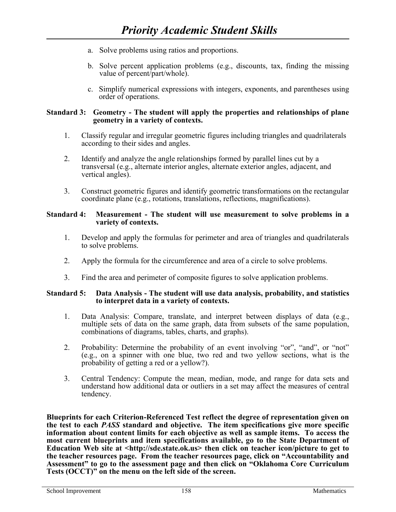- a. Solve problems using ratios and proportions.
- b. Solve percent application problems (e.g., discounts, tax, finding the missing value of percent/part/whole).
- c. Simplify numerical expressions with integers, exponents, and parentheses using order of operations.

### **Standard 3: Geometry - The student will apply the properties and relationships of plane geometry in a variety of contexts.**

- 1. Classify regular and irregular geometric figures including triangles and quadrilaterals according to their sides and angles.
- 2. Identify and analyze the angle relationships formed by parallel lines cut by a transversal (e.g., alternate interior angles, alternate exterior angles, adjacent, and vertical angles).
- 3. Construct geometric figures and identify geometric transformations on the rectangular coordinate plane (e.g., rotations, translations, reflections, magnifications).

#### **Standard 4: Measurement - The student will use measurement to solve problems in a variety of contexts.**

- 1. Develop and apply the formulas for perimeter and area of triangles and quadrilaterals to solve problems.
- 2. Apply the formula for the circumference and area of a circle to solve problems.
- 3. Find the area and perimeter of composite figures to solve application problems.

#### **Standard 5: Data Analysis - The student will use data analysis, probability, and statistics to interpret data in a variety of contexts.**

- 1. Data Analysis: Compare, translate, and interpret between displays of data (e.g., multiple sets of data on the same graph, data from subsets of the same population, combinations of diagrams, tables, charts, and graphs).
- 2. Probability: Determine the probability of an event involving "or", "and", or "not" (e.g., on a spinner with one blue, two red and two yellow sections, what is the probability of getting a red or a yellow?).
- 3. Central Tendency: Compute the mean, median, mode, and range for data sets and understand how additional data or outliers in a set may affect the measures of central tendency.

**Blueprints for each Criterion-Referenced Test reflect the degree of representation given on the test to each** *PASS* **standard and objective. The item specifications give more specific information about content limits for each objective as well as sample items. To access the most current blueprints and item specifications available, go to the State Department of Education Web site at [<http://sde.state.ok.us>](http://sde.state.ok.us/) then click on teacher icon/picture to get to the teacher resources page. From the teacher resources page, click on "Accountability and Assessment" to go to the assessment page and then click on "Oklahoma Core Curriculum Tests (OCCT)" on the menu on the left side of the screen.**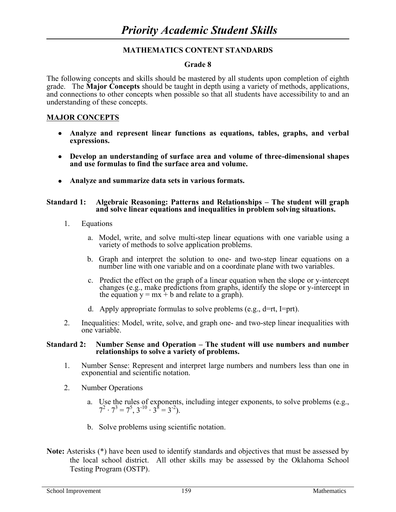#### **Grade 8**

The following concepts and skills should be mastered by all students upon completion of eighth grade. The **Major Concepts** should be taught in depth using a variety of methods, applications, and connections to other concepts when possible so that all students have accessibility to and an understanding of these concepts.

#### **MAJOR CONCEPTS**

- **Analyze and represent linear functions as equations, tables, graphs, and verbal expressions.**
- **Develop an understanding of surface area and volume of three-dimensional shapes and use formulas to find the surface area and volume.**
- **Analyze and summarize data sets in various formats.**

#### **Standard 1: Algebraic Reasoning: Patterns and Relationships – The student will graph and solve linear equations and inequalities in problem solving situations.**

- 1. Equations
	- a. Model, write, and solve multi-step linear equations with one variable using a variety of methods to solve application problems.
	- b. Graph and interpret the solution to one- and two-step linear equations on a number line with one variable and on a coordinate plane with two variables.
	- c. Predict the effect on the graph of a linear equation when the slope or y-intercept changes (e.g., make predictions from graphs, identify the slope or y-intercept in the equation  $y = mx + b$  and relate to a graph).
	- d. Apply appropriate formulas to solve problems (e.g.,  $d=rt$ , I=prt).
- 2. Inequalities: Model, write, solve, and graph one- and two-step linear inequalities with one variable.

#### **Standard 2: Number Sense and Operation – The student will use numbers and number relationships to solve a variety of problems.**

- 1. Number Sense: Represent and interpret large numbers and numbers less than one in exponential and scientific notation.
- 2. Number Operations
	- a. Use the rules of exponents, including integer exponents, to solve problems (e.g.,  $7^2 \cdot 7^3 = 7^5$ ,  $3^{-10} \cdot 3^8 = 3^{-2}$ ).
	- b. Solve problems using scientific notation.
- Note: Asterisks (\*) have been used to identify standards and objectives that must be assessed by the local school district. All other skills may be assessed by the Oklahoma School Testing Program (OSTP).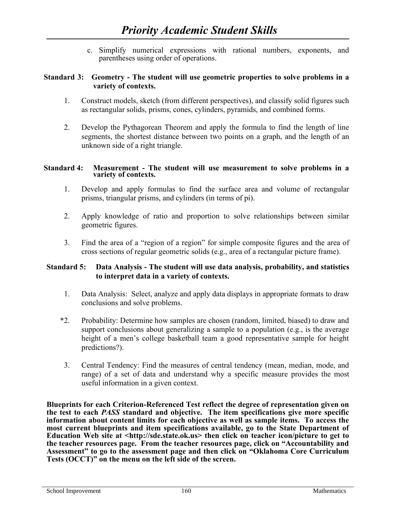c. Simplify numerical expressions with rational numbers, exponents, and parentheses using order of operations.

# **Standard 3: Geometry - The student will use geometric properties to solve problems in a variety of contexts.**

- 1. Construct models, sketch (from different perspectives), and classify solid figures such as rectangular solids, prisms, cones, cylinders, pyramids, and combined forms.
- 2. Develop the Pythagorean Theorem and apply the formula to find the length of line segments, the shortest distance between two points on a graph, and the length of an unknown side of a right triangle.

#### **Standard 4: Measurement - The student will use measurement to solve problems in a variety of contexts.**

- 1. Develop and apply formulas to find the surface area and volume of rectangular prisms, triangular prisms, and cylinders (in terms of pi).
- 2. Apply knowledge of ratio and proportion to solve relationships between similar geometric figures.
- 3. Find the area of a "region of a region" for simple composite figures and the area of cross sections of regular geometric solids (e.g., area of a rectangular picture frame).

# **Standard 5: Data Analysis - The student will use data analysis, probability, and statistics to interpret data in a variety of contexts.**

- 1. Data Analysis: Select, analyze and apply data displays in appropriate formats to draw conclusions and solve problems.
- \*2. Probability: Determine how samples are chosen (random, limited, biased) to draw and support conclusions about generalizing a sample to a population (e.g., is the average height of a men's college basketball team a good representative sample for height predictions?).
- 3. Central Tendency: Find the measures of central tendency (mean, median, mode, and range) of a set of data and understand why a specific measure provides the most useful information in a given context.

**Blueprints for each Criterion-Referenced Test reflect the degree of representation given on the test to each** *PASS* **standard and objective. The item specifications give more specific information about content limits for each objective as well as sample items. To access the most current blueprints and item specifications available, go to the State Department of Education Web site at [<http://sde.state.ok.us>](http://sde.state.ok.us/) then click on teacher icon/picture to get to the teacher resources page. From the teacher resources page, click on "Accountability and Assessment" to go to the assessment page and then click on "Oklahoma Core Curriculum Tests (OCCT)" on the menu on the left side of the screen.**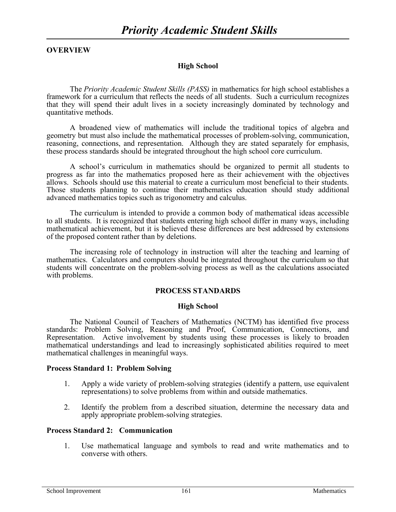# **OVERVIEW**

# **High School**

The *Priority Academic Student Skills (PASS)* in mathematics for high school establishes a framework for a curriculum that reflects the needs of all students. Such a curriculum recognizes that they will spend their adult lives in a society increasingly dominated by technology and quantitative methods.

A broadened view of mathematics will include the traditional topics of algebra and geometry but must also include the mathematical processes of problem-solving, communication, reasoning, connections, and representation. Although they are stated separately for emphasis, these process standards should be integrated throughout the high school core curriculum.

A school's curriculum in mathematics should be organized to permit all students to progress as far into the mathematics proposed here as their achievement with the objectives allows. Schools should use this material to create a curriculum most beneficial to their students. Those students planning to continue their mathematics education should study additional advanced mathematics topics such as trigonometry and calculus.

The curriculum is intended to provide a common body of mathematical ideas accessible to all students. It is recognized that students entering high school differ in many ways, including mathematical achievement, but it is believed these differences are best addressed by extensions of the proposed content rather than by deletions.

The increasing role of technology in instruction will alter the teaching and learning of mathematics. Calculators and computers should be integrated throughout the curriculum so that students will concentrate on the problem-solving process as well as the calculations associated with problems.

# **PROCESS STANDARDS**

#### **High School**

The National Council of Teachers of Mathematics (NCTM) has identified five process standards: Problem Solving, Reasoning and Proof, Communication, Connections, and Representation. Active involvement by students using these processes is likely to broaden mathematical understandings and lead to increasingly sophisticated abilities required to meet mathematical challenges in meaningful ways.

#### **Process Standard 1: Problem Solving**

- 1. Apply a wide variety of problem-solving strategies (identify a pattern, use equivalent representations) to solve problems from within and outside mathematics.
- 2. Identify the problem from a described situation, determine the necessary data and apply appropriate problem-solving strategies.

#### **Process Standard 2: Communication**

1. Use mathematical language and symbols to read and write mathematics and to converse with others.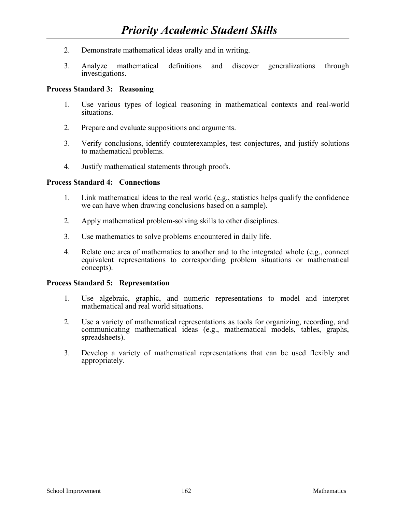- 2. Demonstrate mathematical ideas orally and in writing.
- 3. Analyze mathematical definitions and discover generalizations through investigations.

# **Process Standard 3: Reasoning**

- 1. Use various types of logical reasoning in mathematical contexts and real-world situations.
- 2. Prepare and evaluate suppositions and arguments.
- 3. Verify conclusions, identify counterexamples, test conjectures, and justify solutions to mathematical problems.
- 4. Justify mathematical statements through proofs.

#### **Process Standard 4: Connections**

- 1. Link mathematical ideas to the real world (e.g., statistics helps qualify the confidence we can have when drawing conclusions based on a sample).
- 2. Apply mathematical problem-solving skills to other disciplines.
- 3. Use mathematics to solve problems encountered in daily life.
- 4. Relate one area of mathematics to another and to the integrated whole (e.g., connect equivalent representations to corresponding problem situations or mathematical concepts).

#### **Process Standard 5: Representation**

- 1. Use algebraic, graphic, and numeric representations to model and interpret mathematical and real world situations.
- 2. Use a variety of mathematical representations as tools for organizing, recording, and communicating mathematical ideas (e.g., mathematical models, tables, graphs, spreadsheets).
- 3. Develop a variety of mathematical representations that can be used flexibly and appropriately.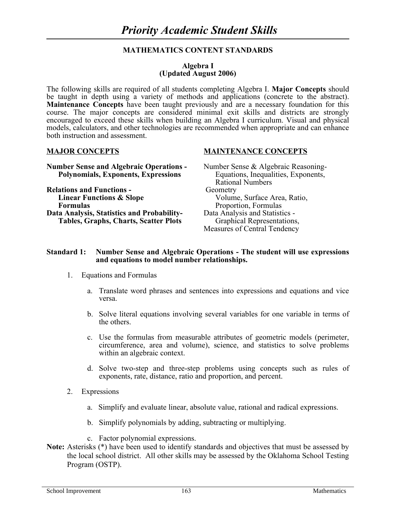#### **Algebra I (Updated August 2006)**

The following skills are required of all students completing Algebra I. **Major Concepts** should be taught in depth using a variety of methods and applications (concrete to the abstract). **Maintenance Concepts** have been taught previously and are a necessary foundation for this course. The major concepts are considered minimal exit skills and districts are strongly encouraged to exceed these skills when building an Algebra I curriculum. Visual and physical models, calculators, and other technologies are recommended when appropriate and can enhance both instruction and assessment.

# **Number Sense and Algebraic Operations -** Number Sense & Algebraic Reasoning-**Polynomials, Exponents, Expressions** Equations, Inequalities, Exponents,

**Relations and Functions -** Geometry **Linear Functions & Slope** Volume, Surface Area, Ratio, **Formulas** Proportion, Formulas **Data Analysis, Statistics and Probability-** Data Analysis and Statistics - **Tables, Graphs, Charts, Scatter Plots** Graphical Representations,

#### **MAJOR CONCEPTS MAINTENANCE CONCEPTS**

Rational Numbers Measures of Central Tendency

#### **Standard 1: Number Sense and Algebraic Operations - The student will use expressions and equations to model number relationships.**

- 1. Equations and Formulas
	- a. Translate word phrases and sentences into expressions and equations and vice versa.
	- b. Solve literal equations involving several variables for one variable in terms of the others.
	- c. Use the formulas from measurable attributes of geometric models (perimeter, circumference, area and volume), science, and statistics to solve problems within an algebraic context.
	- d. Solve two-step and three-step problems using concepts such as rules of exponents, rate, distance, ratio and proportion, and percent.
- 2. Expressions
	- a. Simplify and evaluate linear, absolute value, rational and radical expressions.
	- b. Simplify polynomials by adding, subtracting or multiplying.
	- c. Factor polynomial expressions.
- **Note:** Asterisks (\*) have been used to identify standards and objectives that must be assessed by the local school district. All other skills may be assessed by the Oklahoma School Testing Program (OSTP).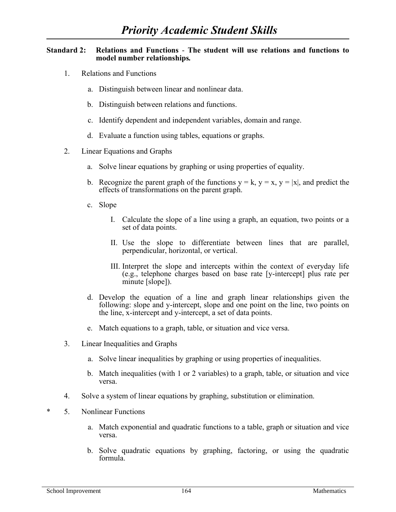#### **Standard 2: Relations and Functions** - **The student will use relations and functions to model number relationships***.*

- 1. Relations and Functions
	- a. Distinguish between linear and nonlinear data.
	- b. Distinguish between relations and functions.
	- c. Identify dependent and independent variables, domain and range.
	- d. Evaluate a function using tables, equations or graphs.
- 2. Linear Equations and Graphs
	- a. Solve linear equations by graphing or using properties of equality.
	- b. Recognize the parent graph of the functions  $y = k$ ,  $y = x$ ,  $y = |x|$ , and predict the effects of transformations on the parent graph.
	- c. Slope
		- I. Calculate the slope of a line using a graph, an equation, two points or a set of data points.
		- II. Use the slope to differentiate between lines that are parallel, perpendicular, horizontal, or vertical.
		- III. Interpret the slope and intercepts within the context of everyday life (e.g., telephone charges based on base rate [y-intercept] plus rate per minute [slope]).
	- d. Develop the equation of a line and graph linear relationships given the following: slope and y-intercept, slope and one point on the line, two points on the line, x-intercept and y-intercept, a set of data points.
	- e. Match equations to a graph, table, or situation and vice versa.
- 3. Linear Inequalities and Graphs
	- a. Solve linear inequalities by graphing or using properties of inequalities.
	- b. Match inequalities (with 1 or 2 variables) to a graph, table, or situation and vice versa.
- 4. Solve a system of linear equations by graphing, substitution or elimination.
- \* 5. Nonlinear Functions
	- a. Match exponential and quadratic functions to a table, graph or situation and vice versa.
	- b. Solve quadratic equations by graphing, factoring, or using the quadratic formula.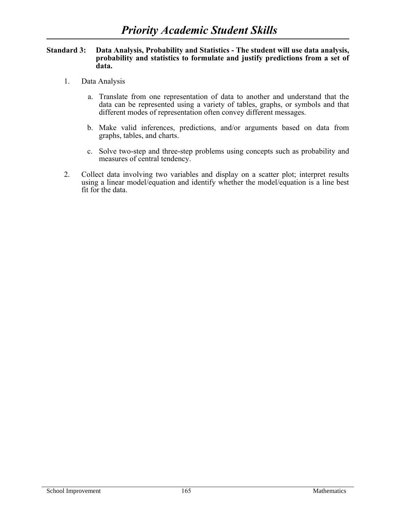#### **Standard 3: Data Analysis, Probability and Statistics - The student will use data analysis, probability and statistics to formulate and justify predictions from a set of data.**

- 1. Data Analysis
	- a. Translate from one representation of data to another and understand that the data can be represented using a variety of tables, graphs, or symbols and that different modes of representation often convey different messages.
	- b. Make valid inferences, predictions, and/or arguments based on data from graphs, tables, and charts.
	- c. Solve two-step and three-step problems using concepts such as probability and measures of central tendency.
- 2. Collect data involving two variables and display on a scatter plot; interpret results using a linear model/equation and identify whether the model/equation is a line best fit for the data.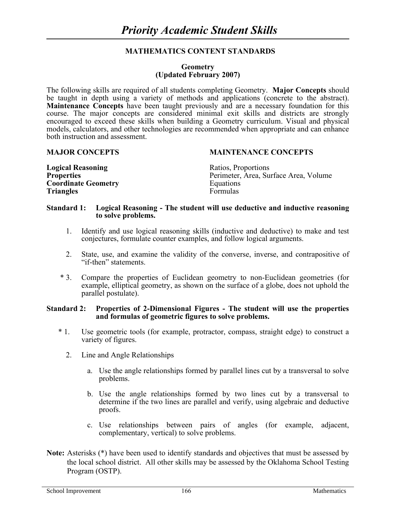#### **Geometry (Updated February 2007)**

The following skills are required of all students completing Geometry. **Major Concepts** should be taught in depth using a variety of methods and applications (concrete to the abstract). **Maintenance Concepts** have been taught previously and are a necessary foundation for this course. The major concepts are considered minimal exit skills and districts are strongly encouraged to exceed these skills when building a Geometry curriculum. Visual and physical models, calculators, and other technologies are recommended when appropriate and can enhance both instruction and assessment.

#### **MAJOR CONCEPTS MAINTENANCE CONCEPTS**

| <b>Logical Reasoning</b>   | Ratios, Proportions                   |
|----------------------------|---------------------------------------|
| <b>Properties</b>          | Perimeter, Area, Surface Area, Volume |
| <b>Coordinate Geometry</b> | Equations                             |
| <b>Triangles</b>           | <b>Formulas</b>                       |

#### **Standard 1: Logical Reasoning - The student will use deductive and inductive reasoning to solve problems.**

- 1. Identify and use logical reasoning skills (inductive and deductive) to make and test conjectures, formulate counter examples, and follow logical arguments.
- 2. State, use, and examine the validity of the converse, inverse, and contrapositive of "if-then" statements.
- \* 3. Compare the properties of Euclidean geometry to non-Euclidean geometries (for example, elliptical geometry, as shown on the surface of a globe, does not uphold the parallel postulate).

#### **Standard 2: Properties of 2-Dimensional Figures - The student will use the properties and formulas of geometric figures to solve problems.**

- \* 1. Use geometric tools (for example, protractor, compass, straight edge) to construct a variety of figures.
	- 2. Line and Angle Relationships
		- a. Use the angle relationships formed by parallel lines cut by a transversal to solve problems.
		- b. Use the angle relationships formed by two lines cut by a transversal to determine if the two lines are parallel and verify, using algebraic and deductive proofs.
		- c. Use relationships between pairs of angles (for example, adjacent, complementary, vertical) to solve problems.
- **Note:** Asterisks (\*) have been used to identify standards and objectives that must be assessed by the local school district. All other skills may be assessed by the Oklahoma School Testing Program (OSTP).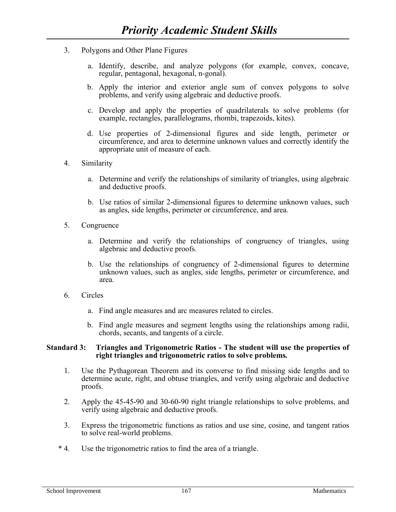- 3. Polygons and Other Plane Figures
	- a. Identify, describe, and analyze polygons (for example, convex, concave, regular, pentagonal, hexagonal, n-gonal).
	- b. Apply the interior and exterior angle sum of convex polygons to solve problems, and verify using algebraic and deductive proofs.
	- c. Develop and apply the properties of quadrilaterals to solve problems (for example, rectangles, parallelograms, rhombi, trapezoids, kites).
	- d. Use properties of 2-dimensional figures and side length, perimeter or circumference, and area to determine unknown values and correctly identify the appropriate unit of measure of each.
- 4. Similarity
	- a. Determine and verify the relationships of similarity of triangles, using algebraic and deductive proofs.
	- b. Use ratios of similar 2-dimensional figures to determine unknown values, such as angles, side lengths, perimeter or circumference, and area.
- 5. Congruence
	- a. Determine and verify the relationships of congruency of triangles, using algebraic and deductive proofs.
	- b. Use the relationships of congruency of 2-dimensional figures to determine unknown values, such as angles, side lengths, perimeter or circumference, and area.
- 6. Circles
	- a. Find angle measures and arc measures related to circles.
	- b. Find angle measures and segment lengths using the relationships among radii, chords, secants, and tangents of a circle.

#### **Standard 3: Triangles and Trigonometric Ratios - The student will use the properties of right triangles and trigonometric ratios to solve problems***.*

- 1. Use the Pythagorean Theorem and its converse to find missing side lengths and to determine acute, right, and obtuse triangles, and verify using algebraic and deductive proofs.
- 2. Apply the 45-45-90 and 30-60-90 right triangle relationships to solve problems, and verify using algebraic and deductive proofs.
- 3. Express the trigonometric functions as ratios and use sine, cosine, and tangent ratios to solve real-world problems.
- \* 4. Use the trigonometric ratios to find the area of a triangle.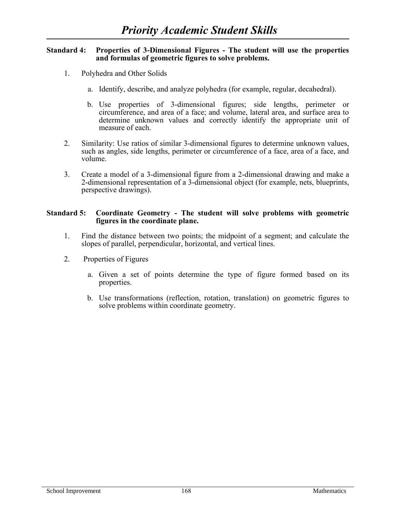#### **Standard 4: Properties of 3-Dimensional Figures - The student will use the properties and formulas of geometric figures to solve problems.**

- 1. Polyhedra and Other Solids
	- a. Identify, describe, and analyze polyhedra (for example, regular, decahedral).
	- b. Use properties of 3-dimensional figures; side lengths, perimeter or circumference, and area of a face; and volume, lateral area, and surface area to determine unknown values and correctly identify the appropriate unit of measure of each.
- 2. Similarity: Use ratios of similar 3-dimensional figures to determine unknown values, such as angles, side lengths, perimeter or circumference of a face, area of a face, and volume.
- 3. Create a model of a 3-dimensional figure from a 2-dimensional drawing and make a 2-dimensional representation of a 3-dimensional object (for example, nets, blueprints, perspective drawings).

#### **Standard 5: Coordinate Geometry - The student will solve problems with geometric figures in the coordinate plane.**

- 1. Find the distance between two points; the midpoint of a segment; and calculate the slopes of parallel, perpendicular, horizontal, and vertical lines.
- 2. Properties of Figures
	- a. Given a set of points determine the type of figure formed based on its properties.
	- b. Use transformations (reflection, rotation, translation) on geometric figures to solve problems within coordinate geometry.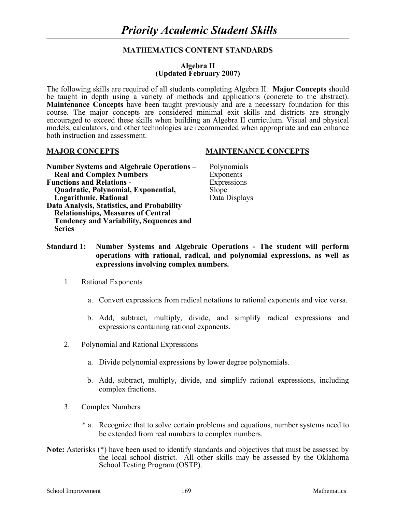#### **Algebra II (Updated February 2007)**

The following skills are required of all students completing Algebra II. **Major Concepts** should be taught in depth using a variety of methods and applications (concrete to the abstract). **Maintenance Concepts** have been taught previously and are a necessary foundation for this course. The major concepts are considered minimal exit skills and districts are strongly encouraged to exceed these skills when building an Algebra II curriculum. Visual and physical models, calculators, and other technologies are recommended when appropriate and can enhance both instruction and assessment.

#### **Number Systems and Algebraic Operations –** Polynomials **Real and Complex Numbers** Exponents **Functions and Relations -** Expressions  **Quadratic, Polynomial, Exponential,** Slope **Logarithmic, Rational Data Displays Data Analysis, Statistics, and Probability Relationships, Measures of Central Tendency and Variability, Sequences and Series**

#### **MAJOR CONCEPTS MAINTENANCE CONCEPTS**

- 
- **Standard 1: Number Systems and Algebraic Operations - The student will perform operations with rational, radical, and polynomial expressions, as well as expressions involving complex numbers.**
	- 1. Rational Exponents
		- a. Convert expressions from radical notations to rational exponents and vice versa.
		- b. Add, subtract, multiply, divide, and simplify radical expressions and expressions containing rational exponents.
	- 2. Polynomial and Rational Expressions
		- a. Divide polynomial expressions by lower degree polynomials.
		- b. Add, subtract, multiply, divide, and simplify rational expressions, including complex fractions.
	- 3. Complex Numbers
		- \* a. Recognize that to solve certain problems and equations, number systems need to be extended from real numbers to complex numbers.
- **Note:** Asterisks (\*) have been used to identify standards and objectives that must be assessed by the local school district. All other skills may be assessed by the Oklahoma School Testing Program (OSTP).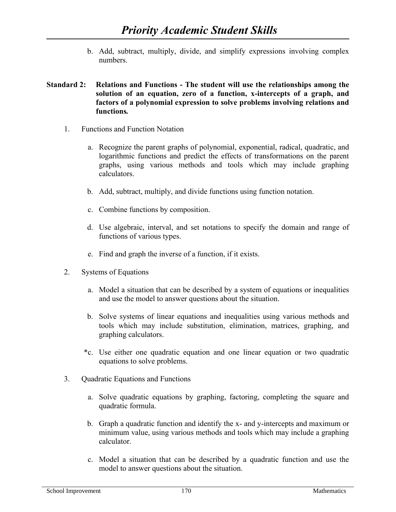b. Add, subtract, multiply, divide, and simplify expressions involving complex numbers.

# **Standard 2: Relations and Functions - The student will use the relationships among the solution of an equation, zero of a function, x-intercepts of a graph, and factors of a polynomial expression to solve problems involving relations and functions***.*

- 1. Functions and Function Notation
	- a. Recognize the parent graphs of polynomial, exponential, radical, quadratic, and logarithmic functions and predict the effects of transformations on the parent graphs, using various methods and tools which may include graphing calculators.
	- b. Add, subtract, multiply, and divide functions using function notation.
	- c. Combine functions by composition.
	- d. Use algebraic, interval, and set notations to specify the domain and range of functions of various types.
	- e. Find and graph the inverse of a function, if it exists.
- 2. Systems of Equations
	- a. Model a situation that can be described by a system of equations or inequalities and use the model to answer questions about the situation.
	- b. Solve systems of linear equations and inequalities using various methods and tools which may include substitution, elimination, matrices, graphing, and graphing calculators.
	- \*c. Use either one quadratic equation and one linear equation or two quadratic equations to solve problems.
- 3. Quadratic Equations and Functions
	- a. Solve quadratic equations by graphing, factoring, completing the square and quadratic formula.
	- b. Graph a quadratic function and identify the x- and y-intercepts and maximum or minimum value, using various methods and tools which may include a graphing calculator.
	- c. Model a situation that can be described by a quadratic function and use the model to answer questions about the situation.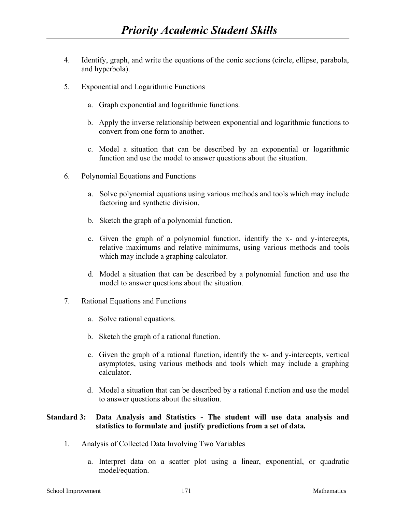- 4. Identify, graph, and write the equations of the conic sections (circle, ellipse, parabola, and hyperbola).
- 5. Exponential and Logarithmic Functions
	- a. Graph exponential and logarithmic functions.
	- b. Apply the inverse relationship between exponential and logarithmic functions to convert from one form to another.
	- c. Model a situation that can be described by an exponential or logarithmic function and use the model to answer questions about the situation.
- 6. Polynomial Equations and Functions
	- a. Solve polynomial equations using various methods and tools which may include factoring and synthetic division.
	- b. Sketch the graph of a polynomial function.
	- c. Given the graph of a polynomial function, identify the x- and y-intercepts, relative maximums and relative minimums, using various methods and tools which may include a graphing calculator.
	- d. Model a situation that can be described by a polynomial function and use the model to answer questions about the situation.
- 7. Rational Equations and Functions
	- a. Solve rational equations.
	- b. Sketch the graph of a rational function.
	- c. Given the graph of a rational function, identify the x- and y-intercepts, vertical asymptotes, using various methods and tools which may include a graphing calculator.
	- d. Model a situation that can be described by a rational function and use the model to answer questions about the situation.

# **Standard 3: Data Analysis and Statistics - The student will use data analysis and statistics to formulate and justify predictions from a set of data***.*

- 1. Analysis of Collected Data Involving Two Variables
	- a. Interpret data on a scatter plot using a linear, exponential, or quadratic model/equation.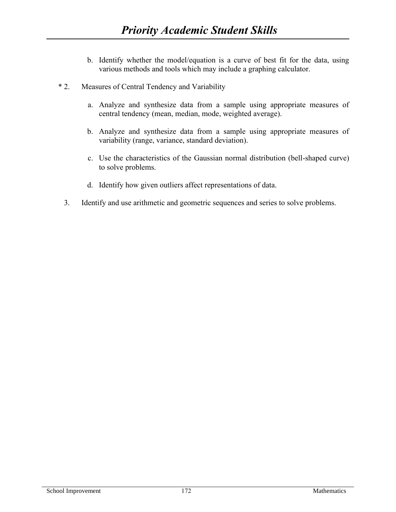- b. Identify whether the model/equation is a curve of best fit for the data, using various methods and tools which may include a graphing calculator.
- \* 2. Measures of Central Tendency and Variability
	- a. Analyze and synthesize data from a sample using appropriate measures of central tendency (mean, median, mode, weighted average).
	- b. Analyze and synthesize data from a sample using appropriate measures of variability (range, variance, standard deviation).
	- c. Use the characteristics of the Gaussian normal distribution (bell-shaped curve) to solve problems.
	- d. Identify how given outliers affect representations of data.
	- 3. Identify and use arithmetic and geometric sequences and series to solve problems.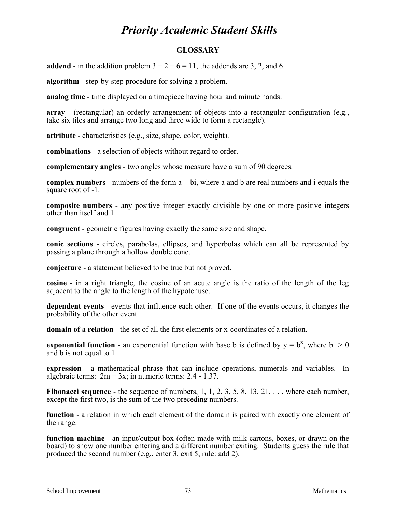# **GLOSSARY**

**addend** - in the addition problem  $3 + 2 + 6 = 11$ , the addends are 3, 2, and 6.

**algorithm** - step-by-step procedure for solving a problem.

**analog time** - time displayed on a timepiece having hour and minute hands.

**array** - (rectangular) an orderly arrangement of objects into a rectangular configuration (e.g., take six tiles and arrange two long and three wide to form a rectangle).

**attribute** - characteristics (e.g., size, shape, color, weight).

**combinations** - a selection of objects without regard to order.

**complementary angles** - two angles whose measure have a sum of 90 degrees.

**complex numbers** - numbers of the form a + bi, where a and b are real numbers and i equals the square root of -1.

**composite numbers** - any positive integer exactly divisible by one or more positive integers other than itself and 1.

**congruent** - geometric figures having exactly the same size and shape.

**conic sections** - circles, parabolas, ellipses, and hyperbolas which can all be represented by passing a plane through a hollow double cone.

**conjecture** - a statement believed to be true but not proved.

**cosine** - in a right triangle, the cosine of an acute angle is the ratio of the length of the leg adjacent to the angle to the length of the hypotenuse.

**dependent events** - events that influence each other. If one of the events occurs, it changes the probability of the other event.

**domain of a relation** - the set of all the first elements or x-coordinates of a relation.

**exponential function** - an exponential function with base b is defined by  $y = b^x$ , where  $b > 0$ and b is not equal to 1.

**expression** - a mathematical phrase that can include operations, numerals and variables. In algebraic terms:  $2m + 3x$ ; in numeric terms: 2.4 - 1.37.

**Fibonacci sequence** - the sequence of numbers, 1, 1, 2, 3, 5, 8, 13, 21, ... where each number, except the first two, is the sum of the two preceding numbers.

**function** - a relation in which each element of the domain is paired with exactly one element of the range.

**function machine** - an input/output box (often made with milk cartons, boxes, or drawn on the board) to show one number entering and a different number exiting. Students guess the rule that produced the second number (e.g., enter 3, exit 5, rule: add 2).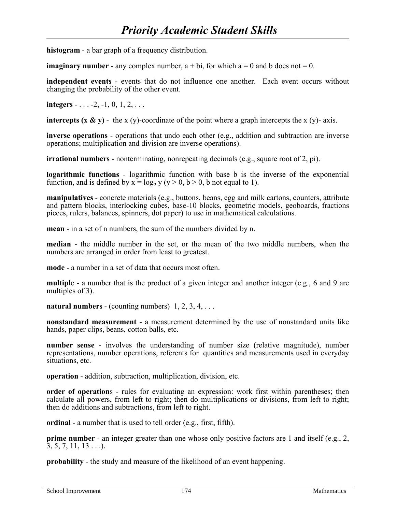**histogram** - a bar graph of a frequency distribution.

**imaginary number** - any complex number,  $a + bi$ , for which  $a = 0$  and b does not  $= 0$ .

**independent events** - events that do not influence one another. Each event occurs without changing the probability of the other event.

**integers** - . . . -2, -1, 0, 1, 2, . . .

**intercepts (x & y)** - the x (y)-coordinate of the point where a graph intercepts the x (y)- axis.

**inverse operations** - operations that undo each other (e.g., addition and subtraction are inverse operations; multiplication and division are inverse operations).

**irrational numbers** - nonterminating, nonrepeating decimals (e.g., square root of 2, pi).

**logarithmic functions** - logarithmic function with base b is the inverse of the exponential function, and is defined by  $x = log_b y (y > 0, b > 0, b$  not equal to 1).

**manipulatives** - concrete materials (e.g., buttons, beans, egg and milk cartons, counters, attribute and pattern blocks, interlocking cubes, base-10 blocks, geometric models, geoboards, fractions pieces, rulers, balances, spinners, dot paper) to use in mathematical calculations.

**mean** - in a set of n numbers, the sum of the numbers divided by n.

**median** - the middle number in the set, or the mean of the two middle numbers, when the numbers are arranged in order from least to greatest.

**mode** - a number in a set of data that occurs most often.

**multipl**e - a number that is the product of a given integer and another integer (e.g., 6 and 9 are multiples of 3).

**natural numbers** - (counting numbers)  $1, 2, 3, 4, \ldots$ 

**nonstandard measurement** - a measurement determined by the use of nonstandard units like hands, paper clips, beans, cotton balls, etc.

**number sense** - involves the understanding of number size (relative magnitude), number representations, number operations, referents for quantities and measurements used in everyday situations, etc.

**operation** - addition, subtraction, multiplication, division, etc.

**order of operations** - rules for evaluating an expression: work first within parentheses; then calculate all powers, from left to right; then do multiplications or divisions, from left to right; then do additions and subtractions, from left to right.

**ordinal** - a number that is used to tell order (e.g., first, fifth).

**prime number** - an integer greater than one whose only positive factors are 1 and itself (e.g., 2,  $\overline{3}, 5, 7, 11, 13 \ldots$ .

**probability** - the study and measure of the likelihood of an event happening.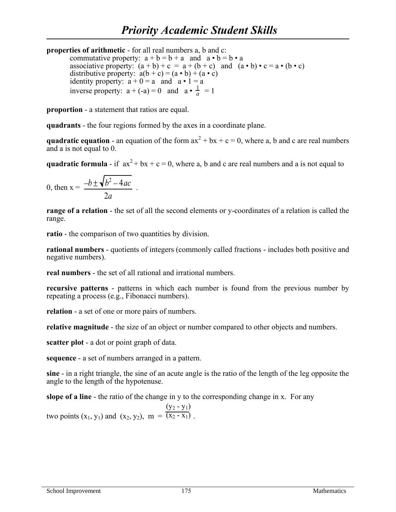**properties of arithmetic** - for all real numbers a, b and c: commutative property:  $a + b = b + a$  and  $a \cdot b = b \cdot a$ associative property:  $(a + b) + c = a + (b + c)$  and  $(a \cdot b) \cdot c = a \cdot (b \cdot c)$ distributive property:  $a(b + c) = (a \cdot b) + (a \cdot c)$ identity property:  $a + 0 = a$  and  $a \cdot 1 = a$ inverse property:  $a + (-a) = 0$  and  $a \cdot \frac{1}{a}$  $\frac{1}{a}$  = 1

**proportion** - a statement that ratios are equal.

**quadrants** - the four regions formed by the axes in a coordinate plane.

**quadratic equation** - an equation of the form  $ax^2 + bx + c = 0$ , where a, b and c are real numbers and a is not equal to 0.

**quadratic formula** - if  $ax^2 + bx + c = 0$ , where a, b and c are real numbers and a is not equal to

$$
0, \text{ then } x = \frac{-b \pm \sqrt{b^2 - 4ac}}{2a}.
$$

**range of a relation** - the set of all the second elements or y-coordinates of a relation is called the range.

**ratio** - the comparison of two quantities by division.

**rational numbers** - quotients of integers (commonly called fractions - includes both positive and negative numbers).

**real numbers** - the set of all rational and irrational numbers.

**recursive patterns** - patterns in which each number is found from the previous number by repeating a process (e.g., Fibonacci numbers).

**relation** - a set of one or more pairs of numbers.

**relative magnitude** - the size of an object or number compared to other objects and numbers.

**scatter plot** - a dot or point graph of data.

**sequence** - a set of numbers arranged in a pattern.

**sine** - in a right triangle, the sine of an acute angle is the ratio of the length of the leg opposite the angle to the length of the hypotenuse.

**slope of a line** - the ratio of the change in y to the corresponding change in x. For any

two points  $(x_1, y_1)$  and  $(x_2, y_2)$ ,  $m = \overline{(x_2 - x_1)}$ .  $(y_2 - y_1)$